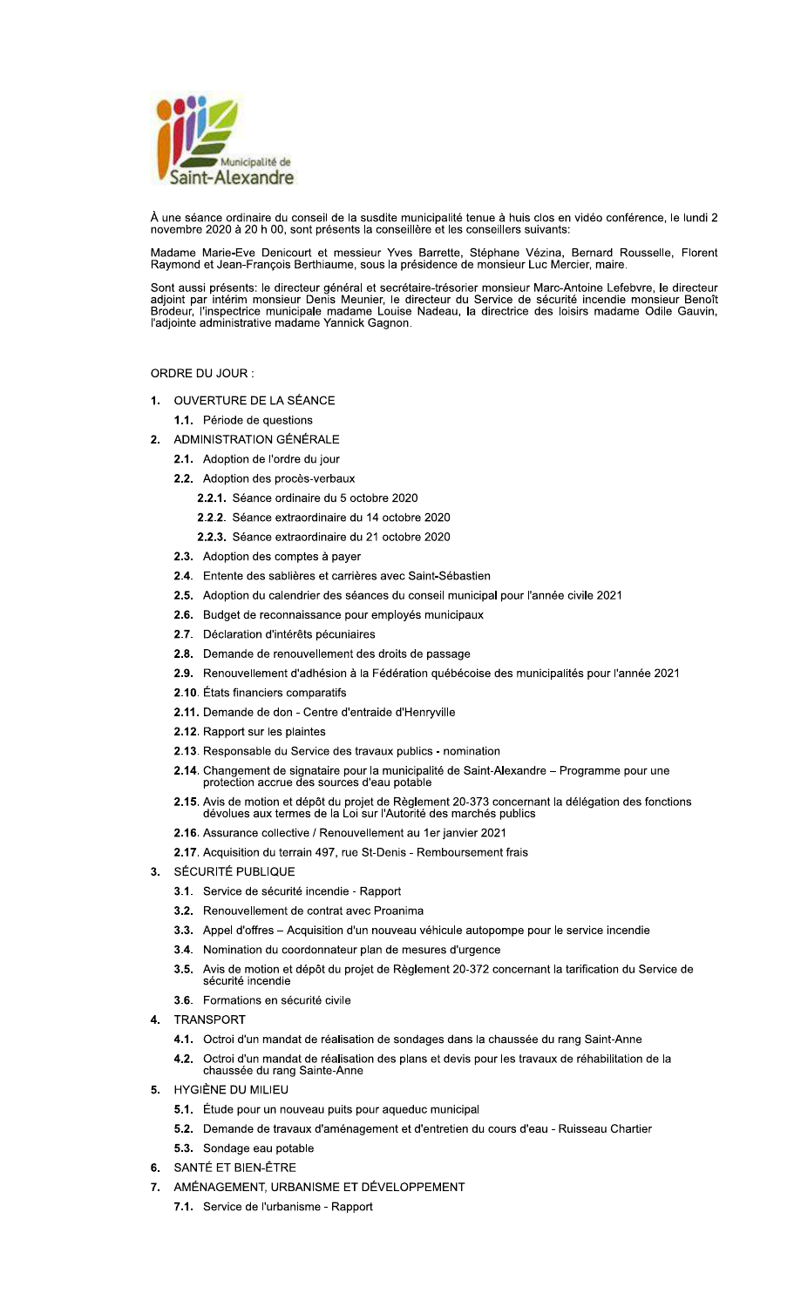

À une séance ordinaire du conseil de la susdite municipalité tenue à huis clos en vidéo conférence, le lundi 2 novembre 2020 à 20 h 00, sont présents la conseillère et les conseillers suivants:

Madame Marie-Eve Denicourt et messieur Yves Barrette, Stéphane Vézina, Bernard Rousselle, Florent Raymond et Jean-François Berthiaume, sous la présidence de monsieur Luc Mercier, maire.

Sont aussi présents: le directeur général et secrétaire-trésorier monsieur Marc-Antoine Lefebvre, le directeur adjoint par intérim monsieur Denis Meunier, le directeur du Service de sécurité incendie monsieur Benoît<br>Brodeur, l'inspectrice municipale madame Louise Nadeau, la directrice des loisirs madame Odile Gauvin, l'adjointe adm

# ORDRE DU JOUR :

- 1. OUVERTURE DE LA SÉANCE
	- 1.1. Période de questions
- 2. ADMINISTRATION GÉNÉRALE
	- 2.1. Adoption de l'ordre du jour
	- 2.2. Adoption des procès-verbaux
		- 2.2.1. Séance ordinaire du 5 octobre 2020
		- 2.2.2. Séance extraordinaire du 14 octobre 2020
		- 2.2.3. Séance extraordinaire du 21 octobre 2020
	- 2.3. Adoption des comptes à payer
	- 2.4. Entente des sablières et carrières avec Saint-Sébastien
	- 2.5. Adoption du calendrier des séances du conseil municipal pour l'année civile 2021
	- 2.6. Budget de reconnaissance pour employés municipaux
	- 2.7. Déclaration d'intérêts pécuniaires
	- 2.8. Demande de renouvellement des droits de passage
	- 2.9. Renouvellement d'adhésion à la Fédération québécoise des municipalités pour l'année 2021
	- 2.10. États financiers comparatifs
	- 2.11. Demande de don Centre d'entraide d'Henryville
	- 2.12. Rapport sur les plaintes
	- 2.13. Responsable du Service des travaux publics nomination
	- 2.14. Changement de signataire pour la municipalité de Saint-Alexandre Programme pour une protection accrue des sources d'eau potable
	- 2.15. Avis de motion et dépôt du projet de Règlement 20-373 concernant la délégation des fonctions dévolues aux termes de la Loi sur l'Autorité des marchés publics
	- 2.16. Assurance collective / Renouvellement au 1er janvier 2021
	- 2.17. Acquisition du terrain 497, rue St-Denis Remboursement frais
- SÉCURITÉ PUBLIQUE  $3.$ 
	- 3.1. Service de sécurité incendie Rapport
	- 3.2. Renouvellement de contrat avec Proanima
	- 3.3. Appel d'offres Acquisition d'un nouveau véhicule autopompe pour le service incendie
	- 3.4. Nomination du coordonnateur plan de mesures d'urgence
	- 3.5. Avis de motion et dépôt du projet de Règlement 20-372 concernant la tarification du Service de sécurité incendie
	- 3.6. Formations en sécurité civile
- **TRANSPORT**  $4.$ 
	- 4.1. Octroi d'un mandat de réalisation de sondages dans la chaussée du rang Saint-Anne
	- 4.2. Octroi d'un mandat de réalisation des plans et devis pour les travaux de réhabilitation de la chaussée du rang Sainte-Anne
- 5. HYGIÈNE DU MILIEU
	- 5.1. Étude pour un nouveau puits pour aqueduc municipal
	- 5.2. Demande de travaux d'aménagement et d'entretien du cours d'eau Ruisseau Chartier
	- 5.3. Sondage eau potable
- 6. SANTÉ ET BIEN-ÊTRE
- 7. AMÉNAGEMENT, URBANISME ET DÉVELOPPEMENT
	- 7.1. Service de l'urbanisme Rapport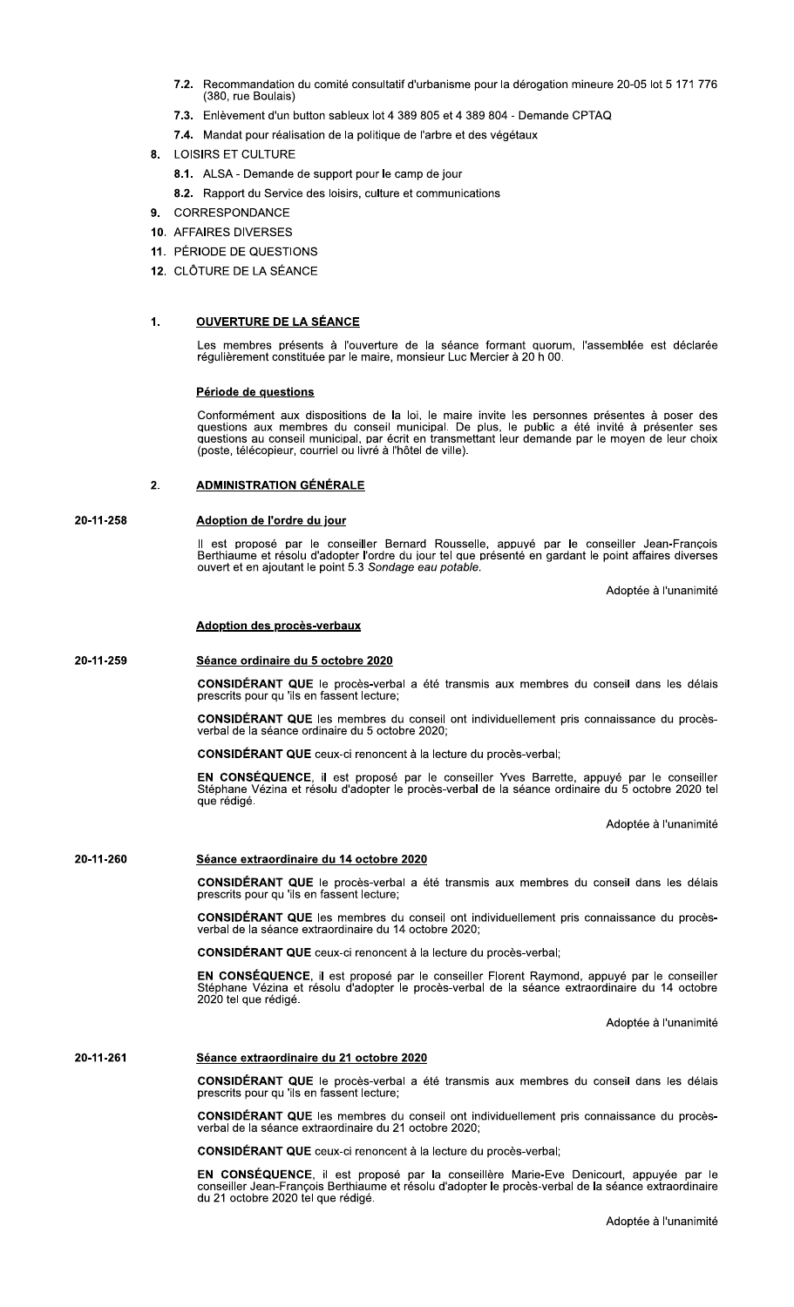- $7.2.$ (380, rue Boulais) ation du comité consultatif d'urbanisme pour la de **7.2.** Recommandation du comité consultatif d'urbanisme pour la dérogation mineure 20-05 lot 5 171 776<br>
18. (380, rue Boulais)<br> **7.3.** Enlèvement d'un button sableux lot 4 389 805 et 4 389 804 - Demande CPTAQ<br> **7.4.** Manda
	- un button sabieux lot 4 389 805 et 4 389 804 Demande CPTAQ
	- **7.4.** Mandat pour realisation de la politique de l'arbre et des vegetaux
	- 8. LOISIRS ET CULTURE
		- 8.1. ALSA Demande de support pour le camp de jour
		- 8.2. Rapport du Service des loisirs, culture et communications
	- 9. CORRESPONDANCE
	- 10. AFFAIRES DIVERSES
	- 11. PÉRIODE DE QUESTIONS
	- 12. CLOTURE DE LA SEANCE

# $\mathbf{1}$ .

Les membres presents a l'ouverture de la seance formant duorum, l'assemblee est de

11. PÉRIODE DE QUESTIONS<br>
12. CLÔTURE DE LA SÉANCE<br>
Les membres présents à l'ouverture de la séance formant auorum, l'assemblée est déclarée<br>
régulièrement constituée par le maire, monsieur Luc Mercier à 20 h 00.<br>
Période Conformement aux dispositions de la loi, le maire invite les personnes présentes à poser des<br>questions aux membres du conseil municipal. De plus, le public a été invité à présenter ses questions aux membres du conseil municipal. De plus, le public à été invité à présenter ses<br>questions au conseil municipal, par écrit en transmettant leur demande par le moyen de leur choix (poste, télécopieur, courriel ou livré à l'hôtel de ville). **Periode de questions**<br>Conformément aux dispositions de la loi, le maire<br>questions aux membres du conseil municipal. De<br>questions au conseil municipal, par écrit en transmet<br>(poste, télécopieur, courriel ou livré à l'hôtel

### $2<sub>1</sub>$ ADMINISTRATION GÉNÉRALE

20-11-258 Adoption de l'ordre du jour

II est propose par le conseiller Bernard Rousselle, appuve par le conseiller Jean-François<br>Berthiaume et résolu d'adopter l'ordre du jour tel que présenté en gardant le point affaires diverses ouvert et en ajoutant le point 5.3 S*ondage eau potable.* Zu-11-258 Madeption de l'ordre du jour<br>Il est proposé par le conseiller Bernard Rousselle, appuvé par le conseiller Jean-Francois<br>Berthiaume et résolu d'adopter l'ordre du jour tel que présenté en gardant le point affaires

Adoptée à l'unanimité

#### 20-11-25 by Seance ordinaire du 5 octobre 2020

**CONSIDERANT QUE** le proces-verbal a ete transmis aux membres du conseil dans les delais<br>prescrits pour qu'ils en fassent lecture;

 $C$ ONSIDERANT QUE les membres du conseil ont individuellement pris connaissance du e la seance ordinaire du 5 octobre 2020;

CONSIDÉRANT QUE ceux-ci renoncent à la lecture du procès-verbal;

Séance ordinaire du 5 octobre 2020<br>
CONSIDÉRANT QUE le procès-verbal a été transmis aux membres du<br>
prescrits pour qu 'lis en fassent lecture;<br>
CONSIDÉRANT QUE les membres du conseil ont individuellement pris<br>
verbal de la **Adoption des procès-verbaux<br>
Séance ordinaire du 5 octobre 2020<br>
CONSIDÉRANT QUE le procès-verbal a été transmis aux membres du conseil dans les délais<br>
prescrits pour qu'ils en fassent lecture;<br>
CONSIDÉRANT QUE les membr** Séance ordinaire du 5 octobre 2020<br>
CONSIDÉRANT QUE le procès-verbal a été transmis aux membres du conseil dans les délais<br>
prescrits pour qu'ils en fassent lecture;<br>
CONSIDÉRANT QUE les membres du conseil ont individuelle adc le procès-verbal a été transmis aux mem<br>
infassent lecture;<br>
les membres du conseil ont individuelleme<br>
dinaire du 5 octobre 2020;<br>
ceux-ci renoncent à la lecture du procès-verb<br>
il est proposé par le conseiller Yves Ba<br>
s e la seance ordinaire du 5 octobre 2020 tel que reaige. **EN CONSÉQUENCE**, il est proposé par le conseiller Yves Barrette, a<br>Stéphane Vézina et résolu d'adopter le procès-verbal de la séance ordina<br>que rédigé.<br>**Séance extraordinaire du 14 octobre 2020**<br>**CONSIDÉRANT QUE** le procè

Adoptee a l'unanimite

### 20-11-26 bu seance extraordinaire du 14 octobre 2020

u conseil dans les delais prescrits pour qu 'ils en fassent lecture;

 $\text{CONSIDE}$  KANT QUE les membres du conseil ont individuellement pris connaissance du e la seance extraordinaire du 14 octobre 2020;

CONSIDÉRANT QUE ceux-ci renoncent à la lecture du procès-verbal;

Adoptée à l'unanimité<br>
Séance extraordinaire du 14 octobre 2020<br>
CONSIDÉRANT QUE le procès-verbal a été transmis aux membres du conseil dans les délais<br>
prescrits pour qu'ils en fassent lecture;<br>
CONSIDÉRANT QUE les membre Séance extraordinaire du 14 octobre 2020<br>
CONSIDÉRANT QUE le procès-verbal a été transmis aux membres du consei<br>
prescrits pour qu'ils en fassent lecture;<br>
CONSIDÉRANT QUE les membres du conseil ont individuellement pris c , appuye par le conseiller Stephane vezina et resolu d'ado le procès-verbal a été transmis aux memb<br>fassent lecture;<br>les membres du conseil ont individuellemen<br>raordinaire du 14 octobre 2020;<br>leux-ci renoncent à la lecture du procès-verba<br>il est proposé par le conseiller Florent R e la seance extraordinaire du 14 octobre zuzu tel que redige. **EN CONSÉQUENCE**, il est proposé par le conseiller Florent Raymond,<br>Stéphane Vézina et résolu d'adopter le procès-verbal de la séance extra<br>2020 tel que rédigé.<br>**Séance extraordinaire du 21 octobre 2020**<br>**CONSIDÉRANT QUE**

Adoptee a runanimite

#### 20-11-26 b1 Seance extraordinaire du 21 octobre 2020

u conseil dans les delais prescrits pour qu 'ils en fassent lecture;

 $\text{COMSIDE}$  EXAMPLE THE MEMBERS OF CONSET ON INQUAL CONSTRAINT PRIS CONDISIONS ON  $\text{A}$ e la seance extraordinaire du 21 octobre 2020;

CONSIDÉRANT QUE ceux-ci renoncent à la lecture du procès-verbal;

Adoptée à l'unanimité<br>
Séance extraordinaire du 21 octobre 2020<br>
CONSIDÉRANT QUE le procès-verbal a été transmis aux membres du conseil dans les délais<br>
prescrits pour qu'ils en fassent lecture;<br>
CONSIDÉRANT QUE les membre Séance extraordinaire du 21 octobre 2020<br>
CONSIDÉRANT QUE le procès-verbal a été transmis aux membres du conseil dans les délais<br>
prescrits pour qu'ils en fassent lecture;<br>
CONSIDÉRANT QUE les membres du conseil ont indivi ado a été transmis aux membres du conseil d<br>
conseil ont individuellement pris connaissan<br>
octobre 2020;<br>
à la lecture du procès-verbal;<br>
par la conseillère Marie-Eve Denicourt, apésolu d'adopter le procès-verbal de la séance<br> consellier Jean-François Berthiaume et resolu d'adopter le proces-verbal de la seance extraordinaire<br>du 21 octobre 2020 tel que rédigé.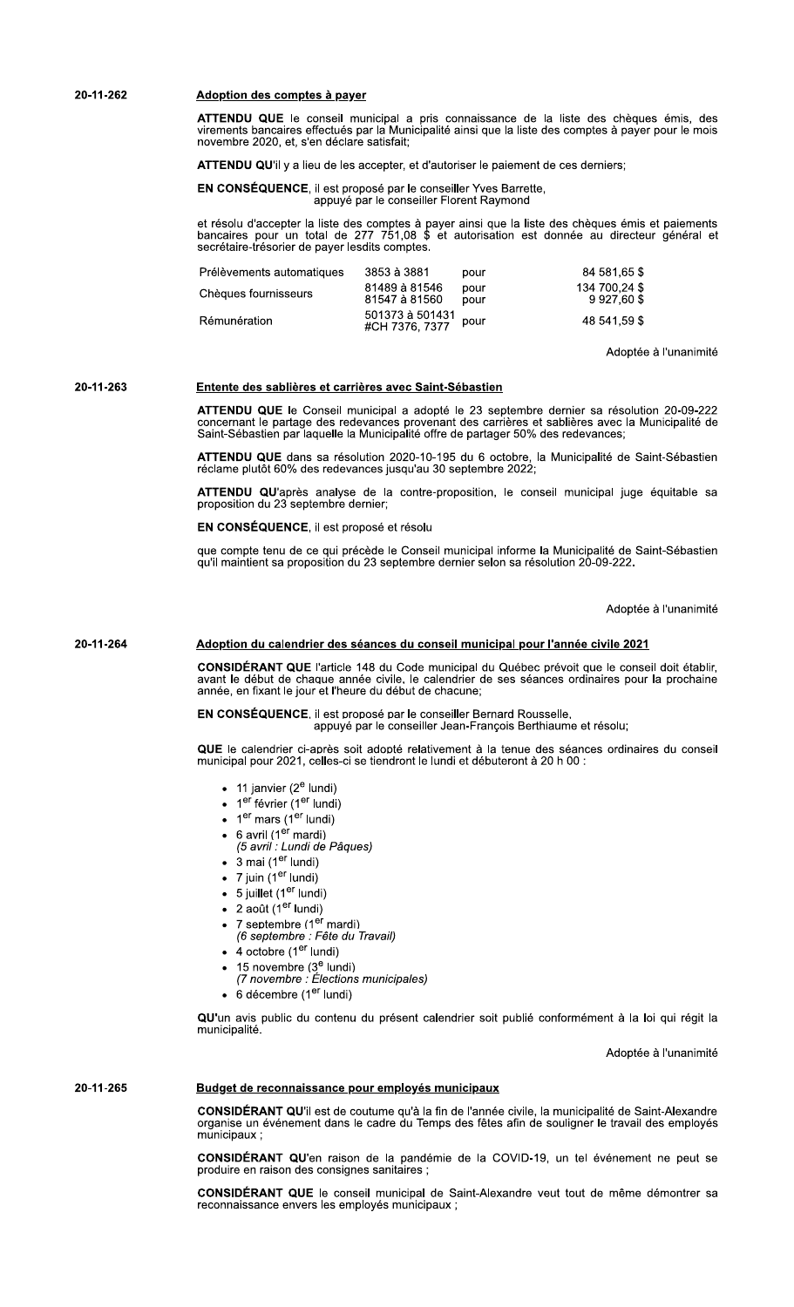20-11-262

# Adoption des comptes à payer

ATTENDU QUE le conseil municipal a pris connaissance de la liste des chèques émis, des virements bancaires effectués par la Municipalité ainsi que la liste des comptes à payer pour le mois novembre 2020, et, s'en déclare satisfait;

**ATTENDU QU'il y a lieu de les accepter, et d'autoriser le paiement de ces derniers:** 

EN CONSÉQUENCE, il est proposé par le conseiller Yves Barrette, appuyé par le conseiller Florent Raymond

et résolu d'accepter la liste des comptes à payer ainsi que la liste des chèques émis et paiements bancaires pour un total de 277 751,08 \$ et autorisation est donnée au directeur général et secrétaire-trésorier de payer le

| Prélèvements automatiques | 3853 à 3881                       | pour         | 84 581.65 \$                    |
|---------------------------|-----------------------------------|--------------|---------------------------------|
| Chèques fournisseurs      | 81489 à 81546<br>81547 à 81560    | pour<br>pour | 134 700.24 \$<br>9 9 2 7 .60 \$ |
| Rémunération              | 501373 à 501431<br>#CH 7376, 7377 | pour         | 48 541.59 \$                    |

Adoptée à l'unanimité

#### 20-11-263 Entente des sablières et carrières avec Saint-Sébastien

ATTENDU QUE le Conseil municipal a adopté le 23 septembre dernier sa résolution 20-09-222 concernant le partage des redevances provenant des carrières et sablières avec la Municipalité de Saint-Sébastien par laquelle la Municipalité offre de partager 50% des redevances;

ATTENDU QUE dans sa résolution 2020-10-195 du 6 octobre, la Municipalité de Saint-Sébastien réclame plutôt 60% des redevances jusqu'au 30 septembre 2022;

ATTENDU QU'après analyse de la contre-proposition, le conseil municipal juge équitable sa proposition du 23 septembre dernier;

EN CONSÉQUENCE, il est proposé et résolu

que compte tenu de ce qui précède le Conseil municipal informe la Municipalité de Saint-Sébastien qu'il maintient sa proposition du 23 septembre dernier selon sa résolution 20-09-222.

Adoptée à l'unanimité

#### 20-11-264 Adoption du calendrier des séances du conseil municipal pour l'année civile 2021

CONSIDÉRANT QUE l'article 148 du Code municipal du Québec prévoit que le conseil doit établir. avant le début de chaque année civile, le calendrier de ses séances ordinaires pour la prochaine<br>année, en fixant le jour et l'heure du début de chacune;

### EN CONSÉQUENCE, il est proposé par le conseiller Bernard Rousselle, appuyé par le conseiller Jean-François Berthiaume et résolu;

QUE le calendrier ci-après soit adopté relativement à la tenue des séances ordinaires du conseil municipal pour 2021, celles-ci se tiendront le lundi et débuteront à 20 h 00 :

- 11 janvier  $(2^e$  lundi)
- 1<sup>er</sup> février (1<sup>er</sup> lundi)
- $\bullet$  1<sup>er</sup> mars (1<sup>er</sup> lundi)
- 
- 6 avril (1<sup>er</sup> mardi)<br>(5 avril : Lundi de Pâques)
- $\bullet$  3 mai (1<sup>er</sup> lundi)
- 7 juin  $(1<sup>er</sup>$  lundi)
- 5 juillet  $(1<sup>er</sup>$  lundi)
- $\bullet$  2 août (1<sup>er</sup> lundi)
- 
- 7 septembre (1<sup>er</sup> mardi)<br>*(6 septembre : Fête du Travail)*
- $\bullet$  4 octobre (1<sup>er</sup> lundi)
- 
- 15 novembre (3<sup>e</sup> lundi)<br>(7 novembre : Élections municipales)
- 6 décembre (1<sup>er</sup> lundi)

QU'un avis public du contenu du présent calendrier soit publié conformément à la loi qui régit la municipalité.

Adoptée à l'unanimité

#### 20-11-265 Budget de reconnaissance pour employés municipaux

CONSIDÉRANT QU'il est de coutume qu'à la fin de l'année civile, la municipalité de Saint-Alexandre organise un événement dans le cadre du Temps des fêtes afin de souligner le travail des employés  $minic$ inaux

CONSIDÉRANT QU'en raison de la pandémie de la COVID-19, un tel événement ne peut se produire en raison des consignes sanitaires ;

CONSIDÉRANT QUE le conseil municipal de Saint-Alexandre veut tout de même démontrer sa reconnaissance envers les employés municipaux ;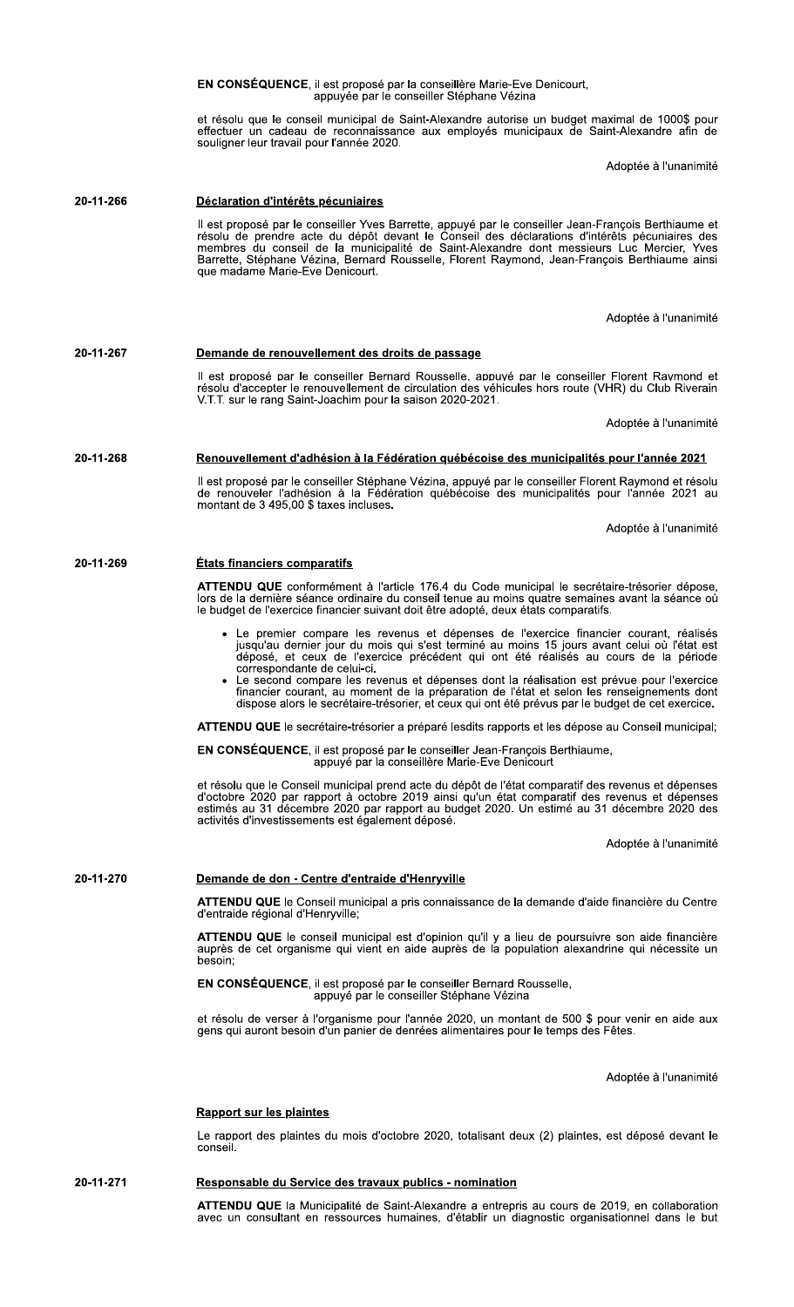|           | et résolu que le conseil municipal de Saint-Alexandre autorise un budget maximal de 1000\$ pour<br>effectuer un cadeau de reconnaissance aux employés municipaux de Saint-Alexandre afin de<br>souligner leur travail pour l'année 2020.                                                                                                                                                                                                                                                               |
|-----------|--------------------------------------------------------------------------------------------------------------------------------------------------------------------------------------------------------------------------------------------------------------------------------------------------------------------------------------------------------------------------------------------------------------------------------------------------------------------------------------------------------|
|           | Adoptée à l'unanimité                                                                                                                                                                                                                                                                                                                                                                                                                                                                                  |
| 20-11-266 | Déclaration d'intérêts pécuniaires                                                                                                                                                                                                                                                                                                                                                                                                                                                                     |
|           | Il est proposé par le conseiller Yves Barrette, appuyé par le conseiller Jean-François Berthiaume et<br>résolu de prendre acte du dépôt devant le Conseil des déclarations d'intérêts pécuniaires des<br>membres du conseil de la municipalité de Saint-Alexandre dont messieurs Luc Mercier, Yves<br>Barrette, Stéphane Vézina, Bernard Rousselle, Florent Raymond, Jean-François Berthiaume ainsi<br>que madame Marie-Eve Denicourt.                                                                 |
|           | Adoptée à l'unanimité                                                                                                                                                                                                                                                                                                                                                                                                                                                                                  |
| 20-11-267 | Demande de renouvellement des droits de passage                                                                                                                                                                                                                                                                                                                                                                                                                                                        |
|           | Il est proposé par le conseiller Bernard Rousselle, appuvé par le conseiller Florent Raymond et<br>résolu d'accepter le renouvellement de circulation des véhicules hors route (VHR) du Club Riverain<br>V.T.T. sur le rang Saint-Joachim pour la saison 2020-2021.                                                                                                                                                                                                                                    |
|           | Adoptée à l'unanimité                                                                                                                                                                                                                                                                                                                                                                                                                                                                                  |
| 20-11-268 | Renouvellement d'adhésion à la Fédération québécoise des municipalités pour l'année 2021                                                                                                                                                                                                                                                                                                                                                                                                               |
|           | Il est proposé par le conseiller Stéphane Vézina, appuyé par le conseiller Florent Raymond et résolu<br>de renouveler l'adhésion à la Fédération québécoise des municipalités pour l'année 2021 au<br>montant de 3 495,00 \$ taxes incluses.                                                                                                                                                                                                                                                           |
|           | Adoptée à l'unanimité                                                                                                                                                                                                                                                                                                                                                                                                                                                                                  |
| 20-11-269 | <b>États financiers comparatifs</b>                                                                                                                                                                                                                                                                                                                                                                                                                                                                    |
|           | <b>ATTENDU QUE</b> conformément à l'article 176.4 du Code municipal le secrétaire-trésorier dépose,<br>lors de la dernière séance ordinaire du conseil tenue au moins quatre semaines avant la séance où<br>le budget de l'exercice financier suivant doit être adopté, deux états comparatifs.                                                                                                                                                                                                        |
|           | • Le premier compare les revenus et dépenses de l'exercice financier courant, réalisés<br>jusqu'au dernier jour du mois qui s'est terminé au moins 15 jours avant celui où l'état est<br>déposé, et ceux de l'exercice précédent qui ont été réalisés au cours de la période<br>correspondante de celui-ci.<br>• Le second compare les revenus et dépenses dont la réalisation est prévue pour l'exercice<br>financier courant, au moment de la préparation de l'état et selon les renseignements dont |
|           | dispose alors le secrétaire-trésorier, et ceux qui ont été prévus par le budget de cet exercice.                                                                                                                                                                                                                                                                                                                                                                                                       |
|           | ATTENDU QUE le secrétaire-trésorier a préparé lesdits rapports et les dépose au Conseil municipal:                                                                                                                                                                                                                                                                                                                                                                                                     |
|           | EN CONSÉQUENCE, il est proposé par le conseiller Jean-François Berthiaume,<br>appuyé par la conseillère Marie-Eve Denicourt                                                                                                                                                                                                                                                                                                                                                                            |
|           | et résolu que le Conseil municipal prend acte du dépôt de l'état comparatif des revenus et dépenses<br>d'octobre 2020 par rapport à octobre 2019 ainsi qu'un état comparatif des revenus et dépenses<br>estimés au 31 décembre 2020 par rapport au budget 2020. Un estimé au 31 décembre 2020 des<br>activités d'investissements est également déposé.                                                                                                                                                 |
|           | Adoptée à l'unanimité                                                                                                                                                                                                                                                                                                                                                                                                                                                                                  |
| 20-11-270 | Demande de don - Centre d'entraide d'Henryville                                                                                                                                                                                                                                                                                                                                                                                                                                                        |
|           | <b>ATTENDU QUE</b> le Conseil municipal a pris connaissance de la demande d'aide financière du Centre<br>d'entraide régional d'Henryville;                                                                                                                                                                                                                                                                                                                                                             |
|           | <b>ATTENDU QUE</b> le conseil municipal est d'opinion qu'il y a lieu de poursuivre son aide financière<br>auprès de cet organisme qui vient en aide auprès de la population alexandrine qui nécessite un<br>besoin:                                                                                                                                                                                                                                                                                    |
|           | EN CONSÉQUENCE, il est proposé par le conseiller Bernard Rousselle,<br>appuyé par le conseiller Stéphane Vézina                                                                                                                                                                                                                                                                                                                                                                                        |
|           | et résolu de verser à l'organisme pour l'année 2020, un montant de 500 \$ pour venir en aide aux<br>gens qui auront besoin d'un panier de denrées alimentaires pour le temps des Fêtes.                                                                                                                                                                                                                                                                                                                |
|           | Adoptée à l'unanimité                                                                                                                                                                                                                                                                                                                                                                                                                                                                                  |
|           | <b>Rapport sur les plaintes</b>                                                                                                                                                                                                                                                                                                                                                                                                                                                                        |
|           | Le rapport des plaintes du mois d'octobre 2020, totalisant deux (2) plaintes, est déposé devant le<br>conseil.                                                                                                                                                                                                                                                                                                                                                                                         |
| 20-11-271 | Responsable du Service des travaux publics - nomination                                                                                                                                                                                                                                                                                                                                                                                                                                                |
|           |                                                                                                                                                                                                                                                                                                                                                                                                                                                                                                        |

EN CONSÉQUENCE, il est proposé par la conseillère Marie-Eve Denicourt,<br>appuyée par le conseiller Stéphane Vézina

ATTENDU QUE la Municipalité de Saint-Alexandre a entrepris au cours de 2019, en collaboration avec un consultant en ressources humaines, d'établir un diagnostic organisationnel dans le but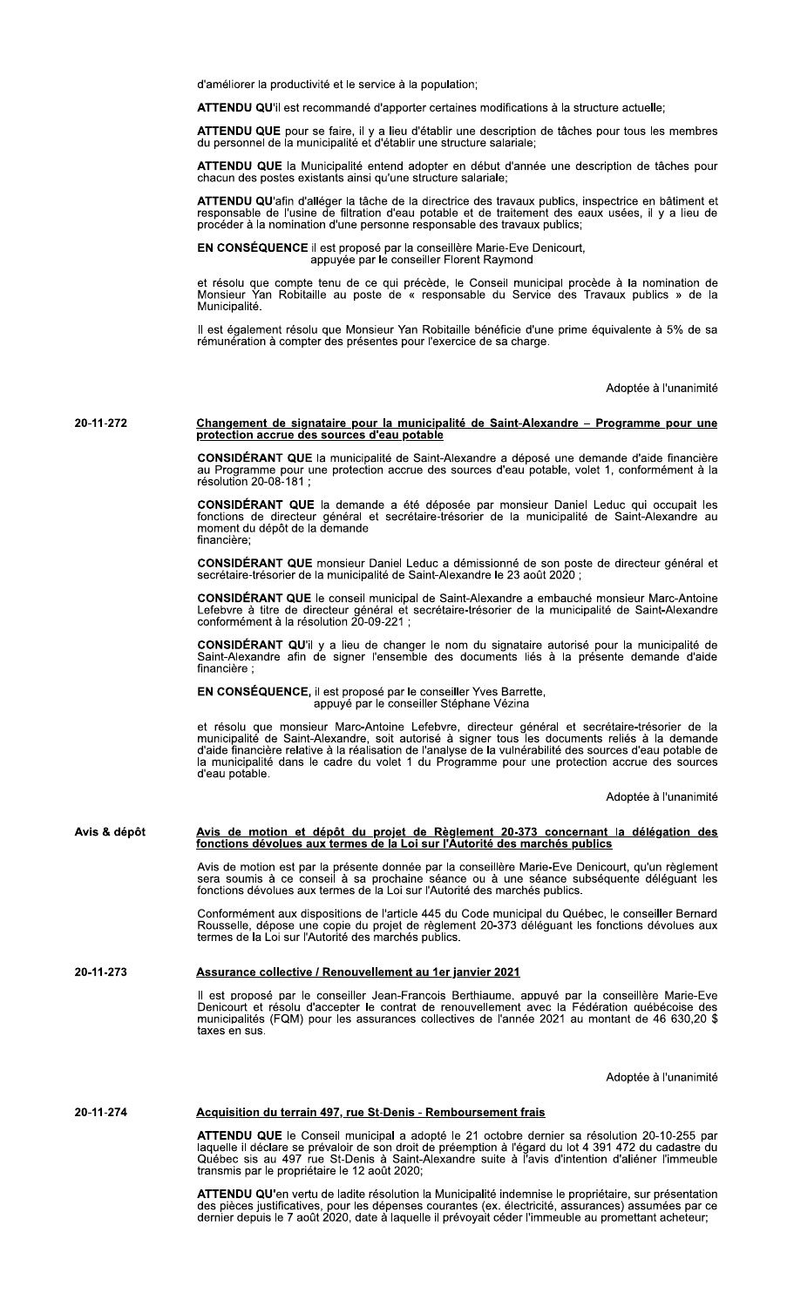d'améliorer la productivité et le service à la population:

ATTENDU QU'il est recommandé d'apporter certaines modifications à la structure actuelle;

ATTENDU QUE pour se faire, il y a lieu d'établir une description de tâches pour tous les membres du personnel de la municipalité et d'établir une structure salariale;

ATTENDU QUE la Municipalité entend adopter en début d'année une description de tâches pour chacun des postes existants ainsi qu'une structure salariale;

ATTENDU QU'afin d'alléger la tâche de la directrice des travaux publics, inspectrice en bâtiment et responsable de l'usine de filtration d'eau potable et de traitement des eaux usées, il y a lieu de procéder à la nomination d'une personne responsable des travaux publics;

EN CONSÉQUENCE il est proposé par la conseillère Marie-Eve Denicourt, appuyée par le conseiller Florent Raymond

et résolu que compte tenu de ce qui précède, le Conseil municipal procède à la nomination de<br>Monsieur Yan Robitaille au poste de « responsable du Service des Travaux publics » de la Municipalité.

Il est également résolu que Monsieur Yan Robitaille bénéficie d'une prime équivalente à 5% de sa rémunération à compter des présentes pour l'exercice de sa charge.

Adoptée à l'unanimité

## Changement de signataire pour la municipalité de Saint-Alexandre - Programme pour une protection accrue des sources d'eau potable 20-11-272

CONSIDÉRANT QUE la municipalité de Saint-Alexandre a déposé une demande d'aide financière au Programme pour une protection accrue des sources d'eau potable, volet 1, conformément à la<br>résolution 20-08-181 ;

CONSIDÉRANT QUE la demande a été déposée par monsieur Daniel Leduc qui occupait les fonctions de directeur général et secrétaire-trésorier de la municipalité de Saint-Alexandre au<br>moment du dépôt de la demande financière;

CONSIDÉRANT QUE monsieur Daniel Leduc a démissionné de son poste de directeur général et secrétaire-trésorier de la municipalité de Saint-Alexandre le 23 août 2020 ;

CONSIDÉRANT QUE le conseil municipal de Saint-Alexandre a embauché monsieur Marc-Antoine Lefebvre à titre de directeur général et secrétaire-trésorier de la municipalité de Saint-Alexandre<br>conformément à la résolution 20-09-221 ;

CONSIDÉRANT QU'il y a lieu de changer le nom du signataire autorisé pour la municipalité de Saint-Alexandre afin de signer l'ensemble des documents liés à la présente demande d'aide financière :

EN CONSÉQUENCE, il est proposé par le conseiller Yves Barrette, appuyé par le conseiller Stéphane Vézina

et résolu que monsieur Marc-Antoine Lefebvre, directeur général et secrétaire-trésorier de la<br>municipalité de Saint-Alexandre, soit autorisé à signer tous les documents reliés à la demande<br>d'aide financière relative à la r la municipalité dans le cadre du volet 1 du Programme pour une protection accrue des sources d'eau potable.

Adoptée à l'unanimité

# Avis de motion et dépôt du projet de Règlement 20-373 concernant la délégation des fonctions dévolues aux termes de la Loi sur l'Autorité des marchés publics Avis & dépôt

Avis de motion est par la présente donnée par la conseillère Marie-Eve Denicourt, qu'un règlement sera soumis à ce conseil à sa prochaine séance ou à une séance subséquente déléguant les fonctions dévolues aux termes de la

Conformément aux dispositions de l'article 445 du Code municipal du Québec, le conseiller Bernard<br>Rousselle, dépose une copie du projet de règlement 20-373 déléguant les fonctions dévolues aux<br>termes de la Loi sur l'Autori

#### 20-11-273 Assurance collective / Renouvellement au 1er janvier 2021

Il est proposé par le conseiller Jean-Francois Berthiaume, appuyé par la conseillère Marie-Eve<br>Denicourt et résolu d'accepter le contrat de renouvellement avec la Fédération québécoise des municipalités (FQM) pour les assurances collectives de l'année 2021 au montant de 46 630,20 \$ taxes en sus.

Adoptée à l'unanimité

#### 20-11-274 Acquisition du terrain 497, rue St-Denis - Remboursement frais

ATTENDU QUE le Conseil municipal a adopté le 21 octobre dernier sa résolution 20-10-255 par<br>laquelle il déclare se prévaloir de son droit de préemption à l'égard du lot 4 391 472 du cadastre du<br>Québec sis au 497 rue St-Den transmis par le propriétaire le 12 août 2020;

ATTENDU QU'en vertu de ladite résolution la Municipalité indemnise le propriétaire, sur présentation des pièces justificatives, pour les dépenses courantes (ex. électricité, assurances) assumées par ce<br>dernier depuis le 7 août 2020, date à laquelle il prévoyait céder l'immeuble au promettant acheteur;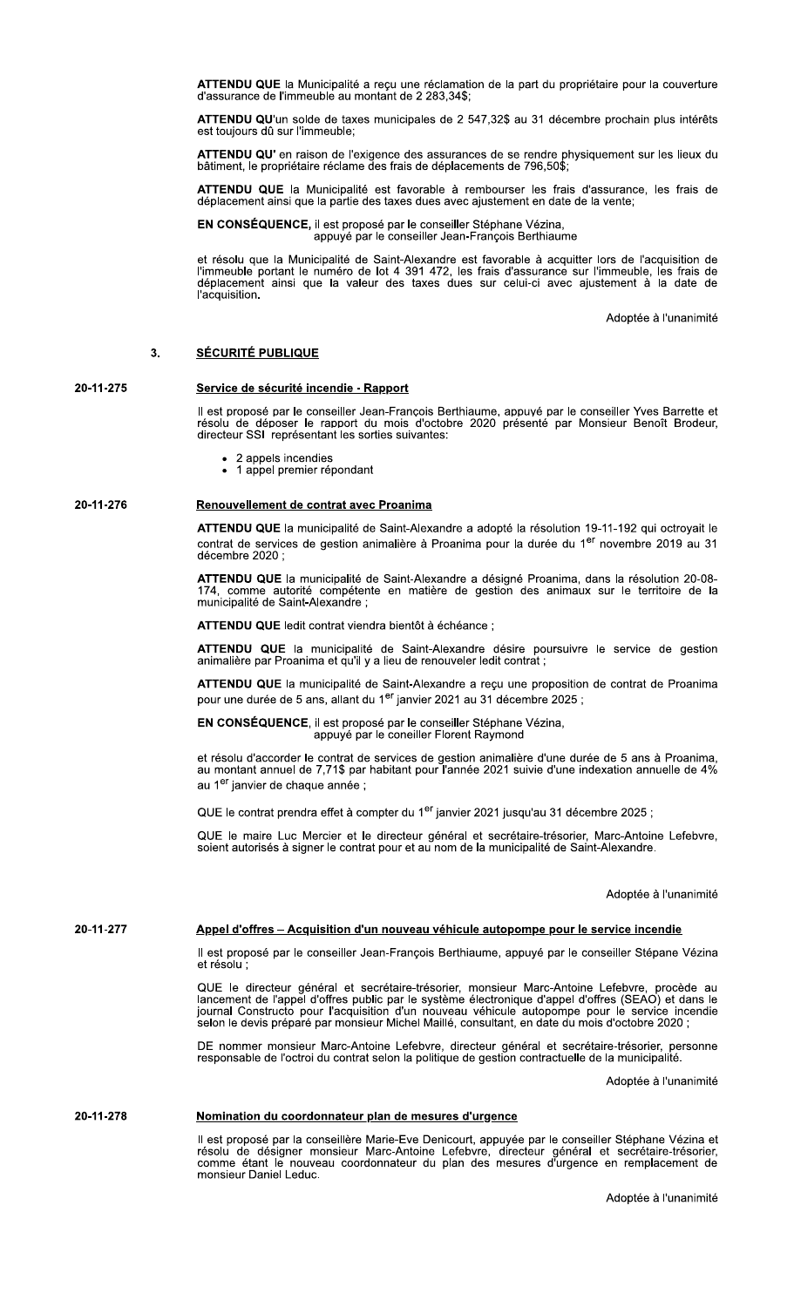ATTENDU QUE la Municipalité a reçu une réclamation de la part du propriétaire pour la couverture d'assurance de l'immeuble au montant de 2 283,34\$;

ATTENDU QU'un solde de taxes municipales de 2 547,32\$ au 31 décembre prochain plus intérêts est toujours dû sur l'immeuble;

ATTENDU QU' en raison de l'exigence des assurances de se rendre physiquement sur les lieux du<br>bâtiment, le propriétaire réclame des frais de déplacements de 796,50\$;

ATTENDU QUE la Municipalité est favorable à rembourser les frais d'assurance, les frais de déplacement ainsi que la partie des taxes dues avec ajustement en date de la vente;

EN CONSÉQUENCE, il est proposé par le conseiller Stéphane Vézina,<br>appuyé par le conseiller Jean-François Berthiaume

et résolu que la Municipalité de Saint-Alexandre est favorable à acquitter lors de l'acquisition de<br>l'immeuble portant le numéro de lot 4 391 472, les frais d'assurance sur l'immeuble, les frais de<br>déplacement ainsi que la l'acquisition.

Adoptée à l'unanimité

#### **SÉCURITÉ PUBLIQUE** 3.

#### 20-11-275 Service de sécurité incendie - Rapport

Il est proposé par le conseiller Jean-François Berthiaume, appuyé par le conseiller Yves Barrette et<br>résolu de déposer le rapport du mois d'octobre 2020 présenté par Monsieur Benoît Brodeur, directeur SSI représentant les sorties suivantes:

- 2 appels incendies
- 1 appel premier répondant

#### 20-11-276 Renouvellement de contrat avec Proanima

ATTENDU QUE la municipalité de Saint-Alexandre a adopté la résolution 19-11-192 qui octroyait le contrat de services de gestion animalière à Proanima pour la durée du 1<sup>er</sup> novembre 2019 au 31 décembre 2020 :

ATTENDU QUE la municipalité de Saint-Alexandre a désigné Proanima, dans la résolution 20-08-174, comme autorité compétente en matière de gestion des animaux sur le territoire de la<br>municipalité de Saint-Alexandre ;

ATTENDU QUE ledit contrat viendra bientôt à échéance :

ATTENDU QUE la municipalité de Saint-Alexandre désire poursuivre le service de gestion animalière par Proanima et qu'il y a lieu de renouveler ledit contrat ;

ATTENDU QUE la municipalité de Saint-Alexandre a reçu une proposition de contrat de Proanima pour une durée de 5 ans, allant du 1<sup>er</sup> janvier 2021 au 31 décembre 2025 ;

EN CONSÉQUENCE, il est proposé par le conseiller Stéphane Vézina, appuyé par le coneiller Florent Raymond

et résolu d'accorder le contrat de services de gestion animalière d'une durée de 5 ans à Proanima, au montant annuel de 7,71\$ par habitant pour l'année 2021 suivie d'une indexation annuelle de 4% au 1<sup>er</sup> janvier de chaque année ;

QUE le contrat prendra effet à compter du 1<sup>er</sup> janvier 2021 jusqu'au 31 décembre 2025 ;

QUE le maire Luc Mercier et le directeur général et secrétaire-trésorier, Marc-Antoine Lefebvre, soient autorisés à signer le contrat pour et au nom de la municipalité de Saint-Alexandre.

Adoptée à l'unanimité

20-11-277

# Appel d'offres - Acquisition d'un nouveau véhicule autopompe pour le service incendie

Il est proposé par le conseiller Jean-François Berthiaume, appuyé par le conseiller Stépane Vézina et résolu :

QUE le directeur général et secrétaire-trésorier, monsieur Marc-Antoine Lefebvre, procède au lancement de l'appel d'offres public par le système électronique d'appel d'offres (SEAO) et dans le journal Constructo pour l'acq

DE nommer monsieur Marc-Antoine Lefebvre, directeur général et secrétaire-trésorier, personne responsable de l'octroi du contrat selon la politique de gestion contractuelle de la municipalité.

Adoptée à l'unanimité

#### 20-11-278 Nomination du coordonnateur plan de mesures d'urgence

Il est proposé par la conseillère Marie-Eve Denicourt, appuyée par le conseiller Stéphane Vézina et résolu de désigner monsieur Marc-Antoine Lefebvre, directeur général et secrétaire-trésorier, comme étant le nouveau coord monsieur Daniel Leduc.

Adoptée à l'unanimité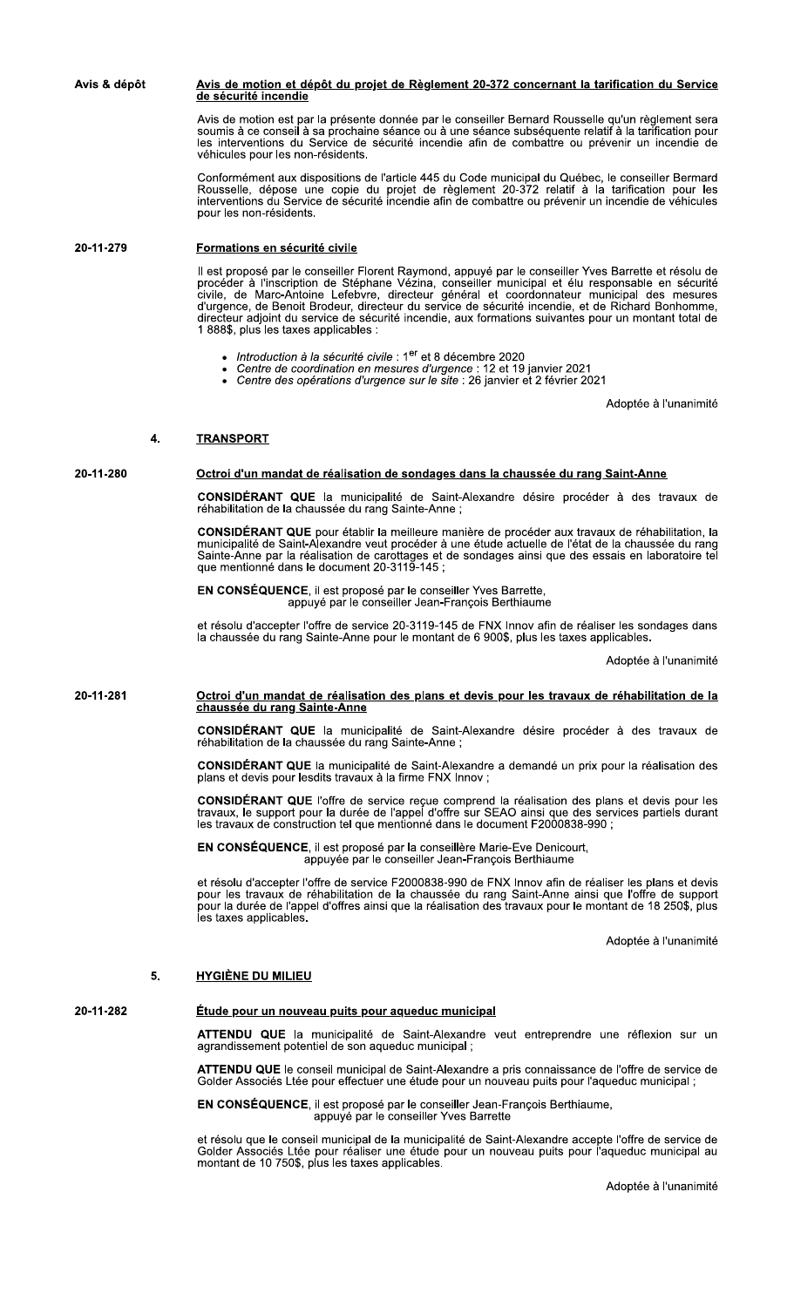Avis & dépôt <u>Avis de motion et dépôt du projet de Règlement 20-372 concernant la tarification du Service</u> de sécurité incendie

> Avis de motion est par la présente donnée par le conseiller Bernard Rousselle qu'un règlement sera<br>soumis à ce conseil à sa prochaine séance ou à une séance subséquente relatif à la tarification pour les interventions du Service de sécurité incendie afin de combattre ou prévenir un incendie de véhicules pour les non-résidents.

> Conformément aux dispositions de l'article 445 du Code municipal du Québec, le conseiller Bermard<br>Rousselle, dépose une copie du projet de règlement 20-372 relatif à la tarification pour les<br>interventions du Service de séc pour les non-résidents.

#### 20-11-279 Formations en sécurité civile

Il est proposé par le conseiller Florent Raymond, appuyé par le conseiller Yves Barrette et résolu de<br>procéder à l'inscription de Stéphane Vézina, conseiller municipal et élu responsable en sécurité<br>civile, de Marc-Antoine 1 888\$, plus les taxes applicables :

- Introduction à la sécurité civile : 1er et 8 décembre 2020
- Centre de coordination en mesures d'urgence : 12 et 19 janvier 2021<br>Centre de coordination en mesures d'urgence : 12 et 19 janvier 2021<br>Centre des opérations d'urgence sur le site : 26 janvier et 2 février 2021
- 

Adoptée à l'unanimité

#### **TRANSPORT**  $\mathbf{4}$

20-11-280

### Octroi d'un mandat de réalisation de sondages dans la chaussée du rang Saint-Anne

CONSIDÉRANT QUE la municipalité de Saint-Alexandre désire procéder à des travaux de réhabilitation de la chaussée du rang Sainte-Anne;

CONSIDÉRANT QUE pour établir la meilleure manière de procéder aux travaux de réhabilitation, la municipalité de Saint-Alexandre veut procéder à une étude actuelle de l'état de la chaussée du rang Sainte-Anne par la réalisation de carottages et de sondages ainsi que des essais en laboratoire tel que mentionné dans le document 20-3119-145 ;

EN CONSÉQUENCE, il est proposé par le conseiller Yves Barrette,<br>appuyé par le conseiller Jean-François Berthiaume

et résolu d'accepter l'offre de service 20-3119-145 de FNX Innov afin de réaliser les sondages dans<br>la chaussée du rang Sainte-Anne pour le montant de 6 900\$, plus les taxes applicables.

Adoptée à l'unanimité

## Octroi d'un mandat de réalisation des plans et devis pour les travaux de réhabilitation de la<br>chaussée du rang Sainte-Anne 20-11-281

**CONSIDÉRANT QUE** la municipalité de Saint-Alexandre désire procéder à des travaux de réhabilitation de la chaussée du rang Sainte-Anne;

CONSIDÉRANT QUE la municipalité de Saint-Alexandre a demandé un prix pour la réalisation des plans et devis pour lesdits travaux à la firme FNX Innov ;

CONSIDÉRANT QUE l'offre de service reçue comprend la réalisation des plans et devis pour les travaux, le support pour la durée de l'appel d'offre sur SEAO ainsi que des services partiels durant les travaux de construction

EN CONSÉQUENCE, il est proposé par la conseillère Marie-Eve Denicourt,<br>appuyée par le conseiller Jean-François Berthiaume

et résolu d'accepter l'offre de service F2000838-990 de FNX Innov afin de réaliser les plans et devis<br>pour les travaux de réhabilitation de la chaussée du rang Saint-Anne ainsi que l'offre de support<br>pour la durée de l'app les taxes applicables.

Adoptée à l'unanimité

#### **HYGIÈNE DU MILIEU** 5.

### 20-11-282

# Étude pour un nouveau puits pour aqueduc municipal

ATTENDU QUE la municipalité de Saint-Alexandre veut entreprendre une réflexion sur un agrandissement potentiel de son aqueduc municipal;

ATTENDU QUE le conseil municipal de Saint-Alexandre a pris connaissance de l'offre de service de Golder Associés Ltée pour effectuer une étude pour un nouveau puits pour l'aqueduc municipal :

EN CONSÉQUENCE, il est proposé par le conseiller Jean-François Berthiaume,<br>appuyé par le conseiller Yves Barrette

et résolu que le conseil municipal de la municipalité de Saint-Alexandre accepte l'offre de service de Golder Associés Ltée pour réaliser une étude pour un nouveau puits pour l'aqueduc municipal au<br>montant de 10 750\$, plus les taxes applicables.

Adoptée à l'unanimité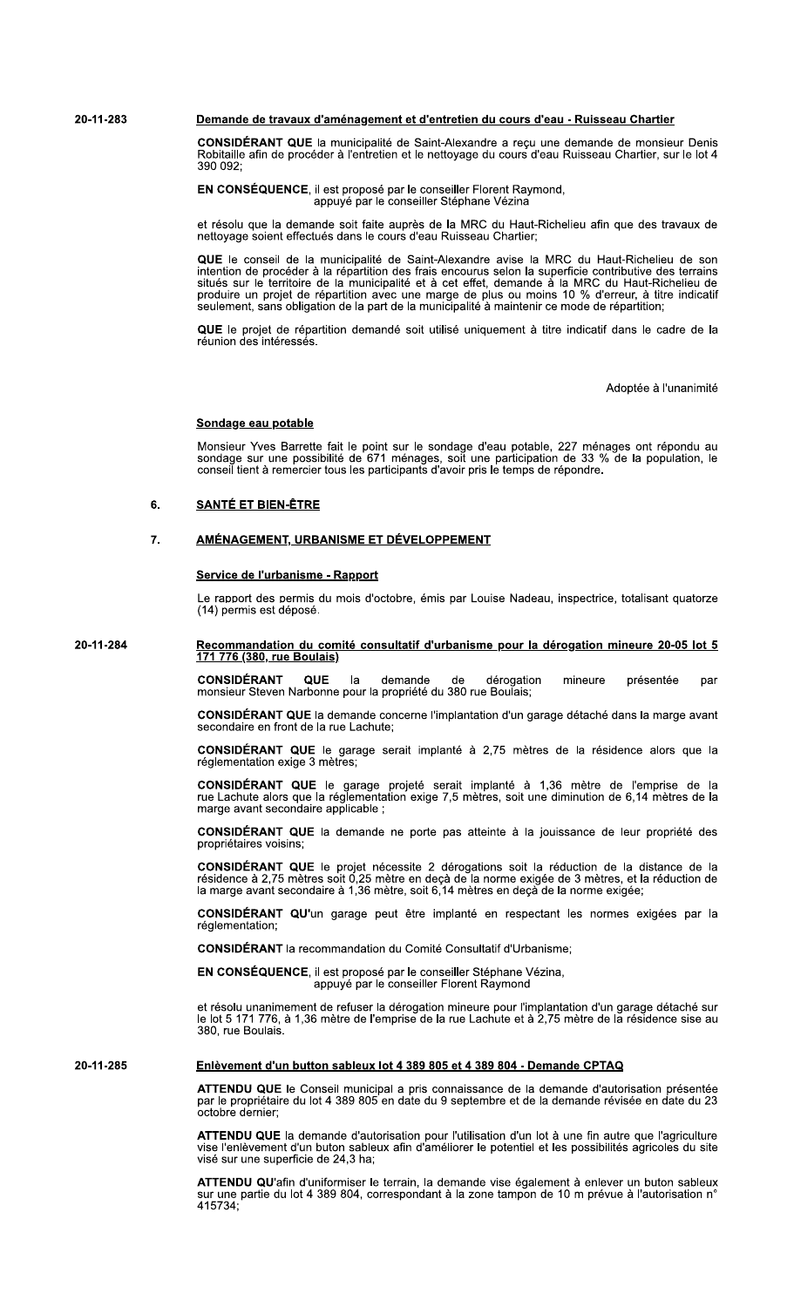#### 20-11-283 Demande de travaux d'aménagement et d'entretien du cours d'eau - Ruisseau Chartier

CONSIDÉRANT QUE la municipalité de Saint-Alexandre a reçu une demande de monsieur Denis Robitaille afin de procéder à l'entretien et le nettoyage du cours d'eau Ruisseau Chartier, sur le lot 4 390 092:

EN CONSÉQUENCE, il est proposé par le conseiller Florent Raymond,<br>appuyé par le conseiller Stéphane Vézina

et résolu que la demande soit faite auprès de la MRC du Haut-Richelieu afin que des travaux de nettoyage soient effectués dans le cours d'eau Ruisseau Chartier;

QUE le conseil de la municipalité de Saint-Alexandre avise la MRC du Haut-Richelieu de son<br>intention de procéder à la répartition des frais encourus selon la superficie contributive des terrains<br>situés sur le territoire de

QUE le projet de répartition demandé soit utilisé uniquement à titre indicatif dans le cadre de la<br>réunion des intéressés.

Adoptée à l'unanimité

### Sondage eau potable

Monsieur Yves Barrette fait le point sur le sondage d'eau potable, 227 ménages ont répondu au sondage sur une possibilité de 671 ménages, soit une participation de 33 % de la population, le conseil tient à remercier tous les participants d'avoir pris le temps de répondre.

#### **SANTÉ ET BIEN-ÊTRE** 6.

#### 7. AMÉNAGEMENT, URBANISME ET DÉVELOPPEMENT

### Service de l'urbanisme - Rapport

Le rapport des permis du mois d'octobre, émis par Louise Nadeau, inspectrice, totalisant quatorze (14) permis est déposé.

20-11-284

Recommandation du comité consultatif d'urbanisme pour la dérogation mineure 20-05 lot 5 <u>171 776 (380, rue Boulais)</u>

> **CONSIDÉRANT QUE**  $|a|$ demande de dérogation mineure présentée par monsieur Steven Narbonne pour la propriété du 380 rue Boulais;

> CONSIDÉRANT QUE la demande concerne l'implantation d'un garage détaché dans la marge avant secondaire en front de la rue Lachute;

> CONSIDÉRANT QUE le garage serait implanté à 2,75 mètres de la résidence alors que la réglementation exige 3 mètres;

> **CONSIDÉRANT QUE** le garage projeté serait implanté à 1,36 mètre de l'emprise de la<br>rue Lachute alors que la réglementation exige 7,5 mètres, soit une diminution de 6,14 mètres de la marge avant secondaire applicable ;

> **CONSIDÉRANT QUE** la demande ne porte pas atteinte à la jouissance de leur propriété des propriétaires voisins;

> **CONSIDÉRANT QUE** le projet nécessite 2 dérogations soit la réduction de la distance de la résidence à 2,75 mètres soit 0,25 mètre en deçà de la norme exigée de 3 mètres, et la réduction de la marge avant secondaire à 1,36

CONSIDÉRANT QU'un garage peut être implanté en respectant les normes exigées par la réglementation:

CONSIDÉRANT la recommandation du Comité Consultatif d'Urbanisme;

EN CONSÉQUENCE, il est proposé par le conseiller Stéphane Vézina, appuyé par le conseiller Florent Raymond

et résolu unanimement de refuser la dérogation mineure pour l'implantation d'un garage détaché sur le lot 5 171 776, à 1,36 mètre de l'emprise de la rue Lachute et à 2,75 mètre de la résidence sise au 380 rue Boulais

20-11-285

### Enlèvement d'un button sableux lot 4 389 805 et 4 389 804 - Demande CPTAQ

ATTENDU QUE le Conseil municipal a pris connaissance de la demande d'autorisation présentée par le propriétaire du lot 4 389 805 en date du 9 septembre et de la demande révisée en date du 23 octobre dernier:

ATTENDU QUE la demande d'autorisation pour l'utilisation d'un lot à une fin autre que l'agriculture vise l'enlèvement d'un buton sableux afin d'améliorer le potentiel et les possibilités agricoles du site visé sur une superficie de 24,3 ha;

ATTENDU QU'afin d'uniformiser le terrain, la demande vise également à enlever un buton sableux sur une partie du lot 4 389 804, correspondant à la zone tampon de 10 m prévue à l'autorisation n' 415734: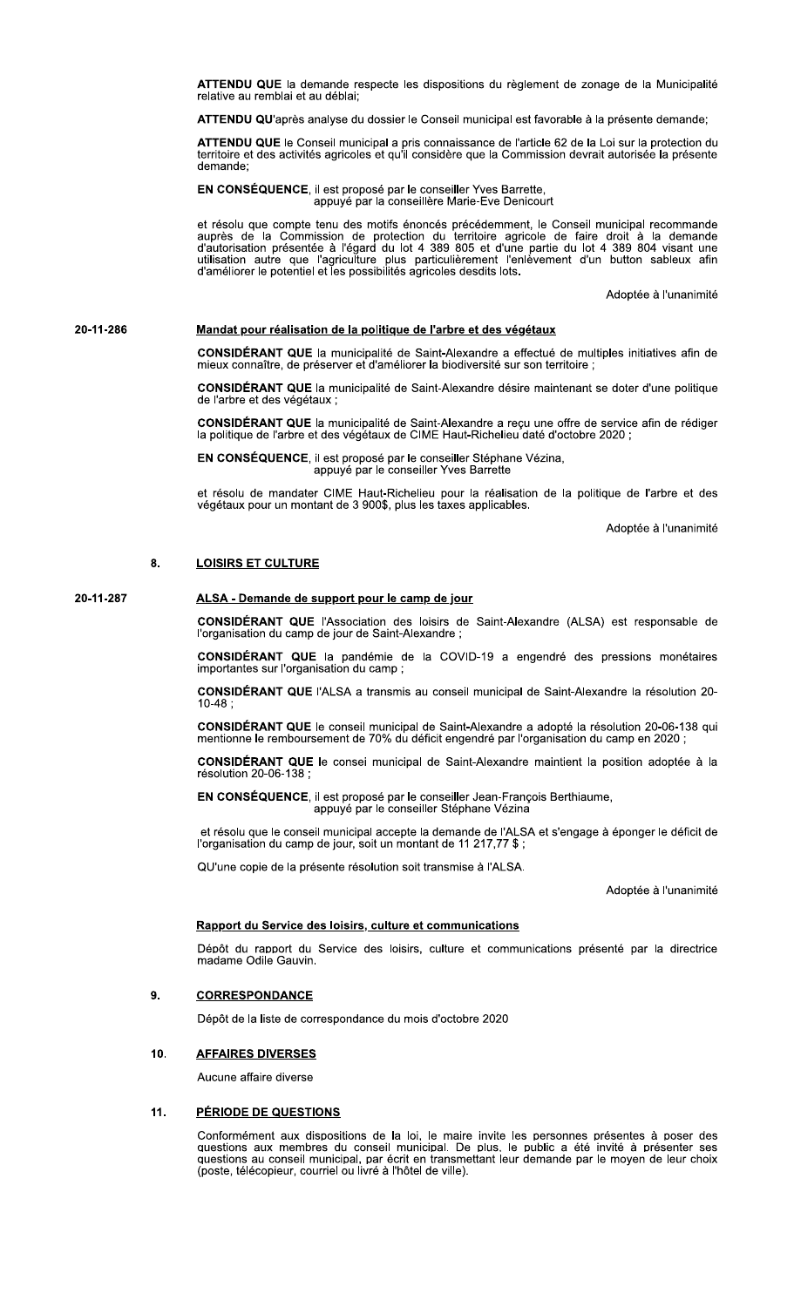ATTENDU QUE la demande respecte les dispositions du règlement de zonage de la Municipalité relative au remblai et au déblai;

ATTENDU QU'après analyse du dossier le Conseil municipal est favorable à la présente demande;

ATTENDU QUE le Conseil municipal a pris connaissance de l'article 62 de la Loi sur la protection du<br>territoire et des activités agricoles et qu'il considère que la Commission devrait autorisée la présente demande:

**EN CONSÉQUENCE**, il est proposé par le conseiller Yves Barrette,<br>appuyé par la conseillère Marie-Eve Denicourt

et résolu que compte tenu des motifs énoncés précédemment, le Conseil municipal recommande auprès de la Commission de protection du territoire agricole de faire droit à la demande d'autorisation présentée à l'égard du lot

Adoptée à l'unanimité

#### 20-11-286 Mandat pour réalisation de la politique de l'arbre et des végétaux

CONSIDÉRANT QUE la municipalité de Saint-Alexandre a effectué de multiples initiatives afin de mieux connaître, de préserver et d'améliorer la biodiversité sur son territoire ;

CONSIDÉRANT QUE la municipalité de Saint-Alexandre désire maintenant se doter d'une politique de l'arbre et des végétaux ;

CONSIDÉRANT QUE la municipalité de Saint-Alexandre a reçu une offre de service afin de rédiger la politique de l'arbre et des végétaux de CIME Haut-Richelieu daté d'octobre 2020 ;

EN CONSÉQUENCE, il est proposé par le conseiller Stéphane Vézina, appuyé par le conseiller Yves Barrette

et résolu de mandater CIME Haut-Richelieu pour la réalisation de la politique de l'arbre et des végétaux pour un montant de 3 900\$, plus les taxes applicables.

Adoptée à l'unanimité

#### 8. **LOISIRS ET CULTURE**

#### 20-11-287 ALSA - Demande de support pour le camp de jour

**CONSIDÉRANT QUE** l'Association des loisirs de Saint-Alexandre (ALSA) est responsable de l'organisation du camp de jour de Saint-Alexandre;

CONSIDÉRANT QUE la pandémie de la COVID-19 a engendré des pressions monétaires importantes sur l'organisation du camp ;

CONSIDÉRANT QUE l'ALSA a transmis au conseil municipal de Saint-Alexandre la résolution 20- $10-48;$ 

CONSIDÉRANT QUE le conseil municipal de Saint-Alexandre a adopté la résolution 20-06-138 qui mentionne le remboursement de 70% du déficit engendré par l'organisation du camp en 2020 ;

CONSIDÉRANT QUE le consei municipal de Saint-Alexandre maintient la position adoptée à la résolution 20-06-138;

EN CONSÉQUENCE, il est proposé par le conseiller Jean-François Berthiaume, appuyé par le conseiller Stéphane Vézina

et résolu que le conseil municipal accepte la demande de l'ALSA et s'engage à éponger le déficit de l'organisation du camp de jour, soit un montant de 11 217,77 \$;

QU'une copie de la présente résolution soit transmise à l'ALSA.

Adoptée à l'unanimité

# Rapport du Service des loisirs, culture et communications

Dépôt du rapport du Service des loisirs, culture et communications présenté par la directrice madame Odile Gauvin.

#### **CORRESPONDANCE** 9.

Dépôt de la liste de correspondance du mois d'octobre 2020

#### 10. **AFFAIRES DIVERSES**

Aucune affaire diverse

#### $11.$ PÉRIODE DE QUESTIONS

Conformément aux dispositions de la loi, le maire invite les personnes présentes à poser des questions aux membres du conseil municipal. De plus, le public a été invité à présenter ses questions au conseil municipal, par é (poste, télécopieur, courriel ou livré à l'hôtel de ville).